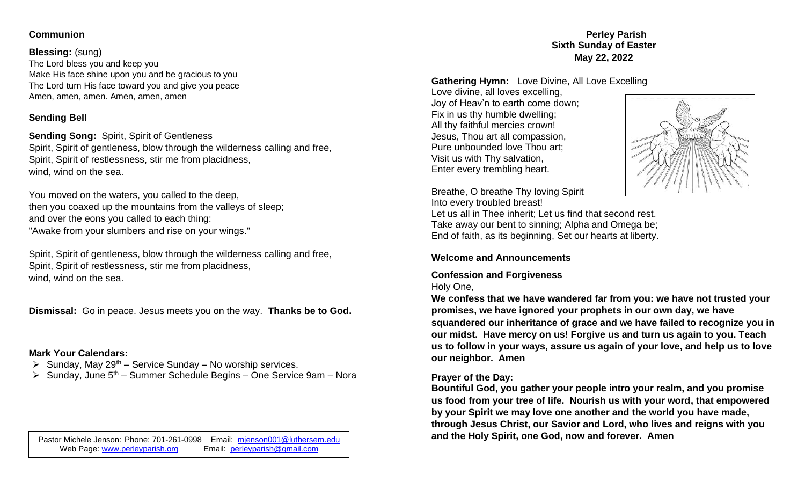### **Communion**

#### **Blessing:** (sung)

The Lord bless you and keep you Make His face shine upon you and be gracious to you The Lord turn His face toward you and give you peace Amen, amen, amen. Amen, amen, amen

# **Sending Bell**

### **Sending Song:** Spirit, Spirit of Gentleness

Spirit, Spirit of gentleness, blow through the wilderness calling and free, Spirit, Spirit of restlessness, stir me from placidness, wind, wind on the sea.

You moved on the waters, you called to the deep, then you coaxed up the mountains from the valleys of sleep; and over the eons you called to each thing: "Awake from your slumbers and rise on your wings."

Spirit, Spirit of gentleness, blow through the wilderness calling and free, Spirit, Spirit of restlessness, stir me from placidness, wind, wind on the sea.

**Dismissal:** Go in peace. Jesus meets you on the way. **Thanks be to God.** 

# **Mark Your Calendars:**

- $\triangleright$  Sunday, May 29<sup>th</sup> Service Sunday No worship services.
- $\triangleright$  Sunday, June 5<sup>th</sup> Summer Schedule Begins One Service 9am Nora

#### **Perley Parish Sixth Sunday of Easter May 22, 2022**

#### **Gathering Hymn:** Love Divine, All Love Excelling

Love divine, all loves excelling, Joy of Heav'n to earth come down; Fix in us thy humble dwelling; All thy faithful mercies crown! Jesus, Thou art all compassion, Pure unbounded love Thou art; Visit us with Thy salvation, Enter every trembling heart.



Breathe, O breathe Thy loving Spirit Into every troubled breast!

Let us all in Thee inherit; Let us find that second rest. Take away our bent to sinning; Alpha and Omega be; End of faith, as its beginning, Set our hearts at liberty.

#### **Welcome and Announcements**

# **Confession and Forgiveness**

# Holy One,

**We confess that we have wandered far from you: we have not trusted your promises, we have ignored your prophets in our own day, we have squandered our inheritance of grace and we have failed to recognize you in our midst. Have mercy on us! Forgive us and turn us again to you. Teach us to follow in your ways, assure us again of your love, and help us to love our neighbor. Amen**

#### **Prayer of the Day:**

**Bountiful God, you gather your people intro your realm, and you promise us food from your tree of life. Nourish us with your word, that empowered by your Spirit we may love one another and the world you have made, through Jesus Christ, our Savior and Lord, who lives and reigns with you Pastor Michele Jenson: Phone: 701-261-0998** Email: [mjenson001@luthersem.edu](mailto:mjenson001@luthersem.edu) **and the Holy Spirit, one God, now and forever. Amen**